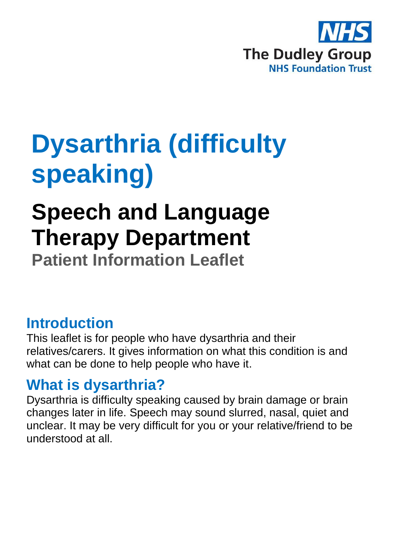

# **Dysarthria (difficulty speaking)**

## **Speech and Language Therapy Department**

**Patient Information Leaflet**

#### **Introduction**

This leaflet is for people who have dysarthria and their relatives/carers. It gives information on what this condition is and what can be done to help people who have it.

#### **What is dysarthria?**

Dysarthria is difficulty speaking caused by brain damage or brain changes later in life. Speech may sound slurred, nasal, quiet and unclear. It may be very difficult for you or your relative/friend to be understood at all.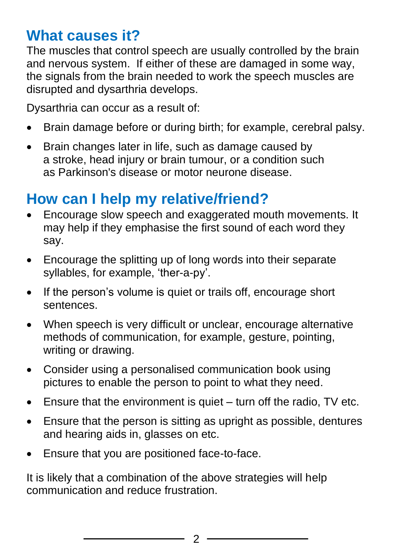#### **What causes it?**

The muscles that control speech are usually controlled by the brain and nervous system. If either of these are damaged in some way, the signals from the brain needed to work the speech muscles are disrupted and dysarthria develops.

Dysarthria can occur as a result of:

- Brain damage before or during birth; for example, cerebral palsy.
- Brain changes later in life, such as damage caused by a stroke, head injury or brain tumour, or a condition such as Parkinson's disease or motor neurone disease.

## **How can I help my relative/friend?**

- Encourage slow speech and exaggerated mouth movements. It may help if they emphasise the first sound of each word they say.
- Encourage the splitting up of long words into their separate syllables, for example, 'ther-a-py'.
- If the person's volume is quiet or trails off, encourage short sentences.
- When speech is very difficult or unclear, encourage alternative methods of communication, for example, gesture, pointing, writing or drawing.
- Consider using a personalised communication book using pictures to enable the person to point to what they need.
- Ensure that the environment is quiet turn off the radio, TV etc.
- Ensure that the person is sitting as upright as possible, dentures and hearing aids in, glasses on etc.
- Ensure that you are positioned face-to-face.

It is likely that a combination of the above strategies will help communication and reduce frustration.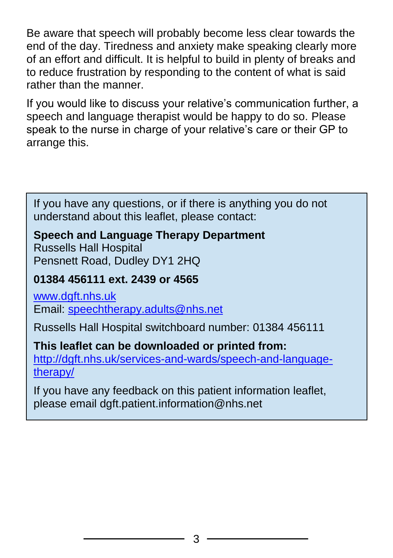Be aware that speech will probably become less clear towards the end of the day. Tiredness and anxiety make speaking clearly more of an effort and difficult. It is helpful to build in plenty of breaks and to reduce frustration by responding to the content of what is said rather than the manner.

If you would like to discuss your relative's communication further, a speech and language therapist would be happy to do so. Please speak to the nurse in charge of your relative's care or their GP to arrange this.

If you have any questions, or if there is anything you do not understand about this leaflet, please contact:

#### **Speech and Language Therapy Department**

Russells Hall Hospital Pensnett Road, Dudley DY1 2HQ

#### **01384 456111 ext. 2439 or 4565**

[www.dgft.nhs.uk](http://www.dgft.nhs.uk/) Email: [speechtherapy.adults@nhs.net](mailto:speechtherapy.adults@nhs.net)

Russells Hall Hospital switchboard number: 01384 456111

### **This leaflet can be downloaded or printed from:**

[http://dgft.nhs.uk/services-and-wards/speech-and-language](http://dgft.nhs.uk/services-and-wards/speech-and-language-therapy/)[therapy/](http://dgft.nhs.uk/services-and-wards/speech-and-language-therapy/)

If you have any feedback on this patient information leaflet, please email dgft.patient.information@nhs.net